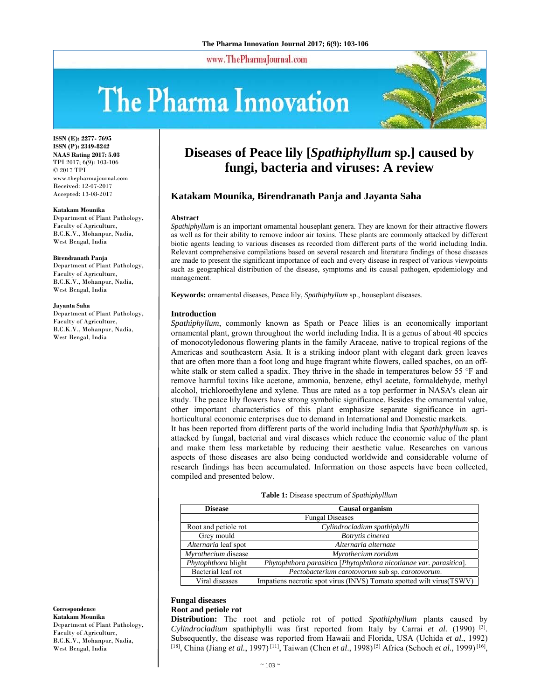www.ThePharmaJournal.com

# The Pharma Innovation



**ISSN (E): 2277- 7695 ISSN (P): 2349-8242 NAAS Rating 2017: 5.03** TPI 2017; 6(9): 103-106 © 2017 TPI www.thepharmajournal.com Received: 12-07-2017 Accepted: 13-08-2017

#### **Katakam Mounika**

Department of Plant Pathology, Faculty of Agriculture, B.C.K.V., Mohanpur, Nadia, West Bengal, India

#### **Birendranath Panja**

Department of Plant Pathology, Faculty of Agriculture, B.C.K.V., Mohanpur, Nadia, West Bengal, India

#### **Jayanta Saha**

Department of Plant Pathology, Faculty of Agriculture, B.C.K.V., Mohanpur, Nadia, West Bengal, India

**Diseases of Peace lily [***Spathiphyllum* **sp.] caused by fungi, bacteria and viruses: A review** 

## **Katakam Mounika, Birendranath Panja and Jayanta Saha**

#### **Abstract**

*Spathiphyllum* is an important ornamental houseplant genera. They are known for their attractive flowers as well as for their ability to remove indoor air toxins. These plants are commonly attacked by different biotic agents leading to various diseases as recorded from different parts of the world including India. Relevant comprehensive compilations based on several research and literature findings of those diseases are made to present the significant importance of each and every disease in respect of various viewpoints such as geographical distribution of the disease, symptoms and its causal pathogen, epidemiology and management.

**Keywords:** ornamental diseases, Peace lily, *Spathiphyllum* sp., houseplant diseases.

#### **Introduction**

*Spathiphyllum*, commonly known as Spath or Peace lilies is an economically important ornamental plant, grown throughout the world including India. It is a genus of about 40 species of monocotyledonous flowering plants in the family Araceae, native to tropical regions of the Americas and southeastern Asia. It is a striking indoor plant with elegant dark green leaves that are often more than a foot long and huge fragrant white flowers, called spaches, on an offwhite stalk or stem called a spadix. They thrive in the shade in temperatures below 55 °F and remove harmful toxins like acetone, ammonia, benzene, ethyl acetate, formaldehyde, methyl alcohol, trichloroethylene and xylene. Thus are rated as a top performer in NASA's clean air study. The peace lily flowers have strong symbolic significance. Besides the ornamental value, other important characteristics of this plant emphasize separate significance in agrihorticultural economic enterprises due to demand in International and Domestic markets.

It has been reported from different parts of the world including India that *Spathiphyllum* sp. is attacked by fungal, bacterial and viral diseases which reduce the economic value of the plant and make them less marketable by reducing their aesthetic value. Researches on various aspects of those diseases are also being conducted worldwide and considerable volume of research findings has been accumulated. Information on those aspects have been collected, compiled and presented below.

| <b>Disease</b>         | Causal organism                                                      |
|------------------------|----------------------------------------------------------------------|
| <b>Fungal Diseases</b> |                                                                      |
| Root and petiole rot   | Cylindrocladium spathiphylli                                         |
| Grey mould             | Botrytis cinerea                                                     |
| Alternaria leaf spot   | Alternaria alternate                                                 |
| Myrothecium disease    | Myrothecium roridum                                                  |
| Phytophthora blight    | Phytophthora parasitica [Phytophthora nicotianae var. parasitica].   |
| Bacterial leaf rot     | Pectobacterium carotovorum sub sp. carotovorum.                      |
| Viral diseases         | Impatiens necrotic spot virus (INVS) Tomato spotted wilt virus(TSWV) |

#### **Table 1:** Disease spectrum of *Spathiphylllum*

## **Fungal diseases**

## **Root and petiole rot**

**Distribution:** The root and petiole rot of potted *Spathiphyllum* plants caused by *Cylindrocladium* spathiphylli was first reported from Italy by Carrai *et al.* (1990) [3]. Subsequently, the disease was reported from Hawaii and Florida, USA (Uchida *et al.*, 1992) [18], China (Jiang *et al.*, 1997) [11], Taiwan (Chen *et al*., 1998) [5] Africa (Schoch *et al.,* 1999) [16],

**Correspondence Katakam Mounika**  Department of Plant Pathology, Faculty of Agriculture, B.C.K.V., Mohanpur, Nadia, West Bengal, India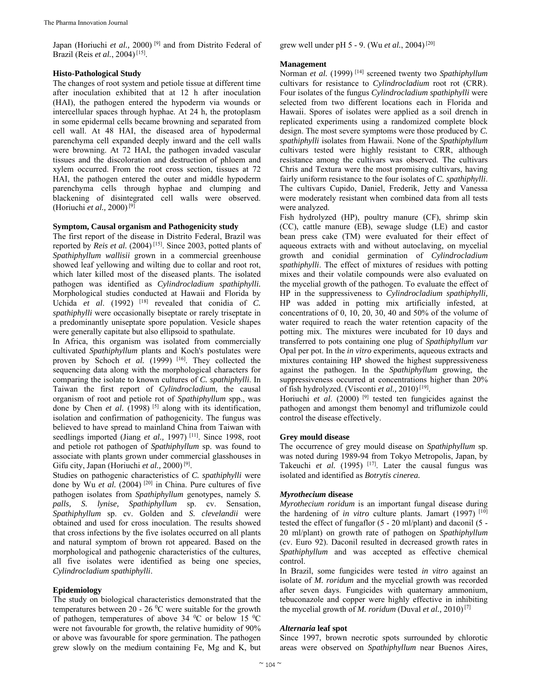Japan (Horiuchi *et al.,* 2000) [9] and from Distrito Federal of Brazil (Reis *et al.*, 2004) [15].

## **Histo-Pathological Study**

The changes of root system and petiole tissue at different time after inoculation exhibited that at 12 h after inoculation (HAI), the pathogen entered the hypoderm via wounds or intercellular spaces through hyphae. At 24 h, the protoplasm in some epidermal cells became browning and separated from cell wall. At 48 HAI, the diseased area of hypodermal parenchyma cell expanded deeply inward and the cell walls were browning. At 72 HAI, the pathogen invaded vascular tissues and the discoloration and destruction of phloem and xylem occurred. From the root cross section, tissues at 72 HAI, the pathogen entered the outer and middle hypoderm parenchyma cells through hyphae and clumping and blackening of disintegrated cell walls were observed. (Horiuchi *et al.,* 2000) [9]

## **Symptom, Causal organism and Pathogenicity study**

The first report of the disease in Distrito Federal, Brazil was reported by *Reis et al.* (2004)<sup>[15]</sup>. Since 2003, potted plants of *Spathiphyllum wallisii* grown in a commercial greenhouse showed leaf yellowing and wilting due to collar and root rot, which later killed most of the diseased plants. The isolated pathogen was identified as *Cylindrocladium spathiphylli.*  Morphological studies conducted at Hawaii and Florida by Uchida *et al.* (1992) <sup>[18]</sup> revealed that conidia of *C*. *spathiphylli* were occasionally biseptate or rarely triseptate in a predominantly uniseptate spore population. Vesicle shapes were generally capitate but also ellipsoid to spathulate.

In Africa, this organism was isolated from commercially cultivated *Spathiphyllum* plants and Koch's postulates were proven by Schoch et al. (1999) <sup>[16]</sup>. They collected the sequencing data along with the morphological characters for comparing the isolate to known cultures of *C. spathiphylli*. In Taiwan the first report of *Cylindrocladium*, the causal organism of root and petiole rot of *Spathiphyllum* spp., was done by Chen *et al.* (1998)<sup>[5]</sup> along with its identification, isolation and confirmation of pathogenicity. The fungus was believed to have spread to mainland China from Taiwan with seedlings imported (Jiang *et al.*, 1997)<sup>[11]</sup>. Since 1998, root and petiole rot pathogen of *Spathiphyllum* sp. was found to associate with plants grown under commercial glasshouses in Gifu city, Japan (Horiuchi *et al.,* 2000) [9].

Studies on pathogenic characteristics of *C. spathiphylli* were done by Wu *et al.* (2004)<sup>[20]</sup> in China. Pure cultures of five pathogen isolates from *Spathiphyllum* genotypes, namely *S. palls, S. lynise, Spathiphyllum* sp. cv. Sensation, *Spathiphyllum* sp. cv. Golden and *S. clevelandii* were obtained and used for cross inoculation. The results showed that cross infections by the five isolates occurred on all plants and natural symptom of brown rot appeared. Based on the morphological and pathogenic characteristics of the cultures, all five isolates were identified as being one species, *Cylindrocladium spathiphylli*.

## **Epidemiology**

The study on biological characteristics demonstrated that the temperatures between 20 - 26  $\rm{^0C}$  were suitable for the growth of pathogen, temperatures of above 34  $\rm{^0C}$  or below 15  $\rm{^0C}$ were not favourable for growth, the relative humidity of 90% or above was favourable for spore germination. The pathogen grew slowly on the medium containing Fe, Mg and K, but

grew well under pH 5 - 9. (Wu *et al.*, 2004) [20]

## **Management**

Norman et al. (1999)<sup>[14]</sup> screened twenty two *Spathiphyllum* cultivars for resistance to *Cylindrocladium* root rot (CRR). Four isolates of the fungus *Cylindrocladium spathiphylli* were selected from two different locations each in Florida and Hawaii. Spores of isolates were applied as a soil drench in replicated experiments using a randomized complete block design. The most severe symptoms were those produced by *C. spathiphylli* isolates from Hawaii. None of the *Spathiphyllum*  cultivars tested were highly resistant to CRR, although resistance among the cultivars was observed. The cultivars Chris and Textura were the most promising cultivars, having fairly uniform resistance to the four isolates of *C. spathiphylli*. The cultivars Cupido, Daniel, Frederik, Jetty and Vanessa were moderately resistant when combined data from all tests were analyzed.

Fish hydrolyzed (HP), poultry manure (CF), shrimp skin (CC), cattle manure (EB), sewage sludge (LE) and castor bean press cake (TM) were evaluated for their effect of aqueous extracts with and without autoclaving, on mycelial growth and conidial germination of *Cylindrocladium spathiphylli*. The effect of mixtures of residues with potting mixes and their volatile compounds were also evaluated on the mycelial growth of the pathogen. To evaluate the effect of HP in the suppressiveness to *Cylindrocladium spathiphylli,* HP was added in potting mix artificially infested, at concentrations of 0, 10, 20, 30, 40 and 50% of the volume of water required to reach the water retention capacity of the potting mix. The mixtures were incubated for 10 days and transferred to pots containing one plug of *Spathiphyllum var* Opal per pot. In the *in vitro* experiments, aqueous extracts and mixtures containing HP showed the highest suppressiveness against the pathogen. In the *Spathiphyllum* growing, the suppressiveness occurred at concentrations higher than 20% of fish hydrolyzed. (Visconti *et al.,* 2010) [19].

Horiuchi *et al*. (2000) [9] tested ten fungicides against the pathogen and amongst them benomyl and triflumizole could control the disease effectively.

#### **Grey mould disease**

The occurrence of grey mould disease on *Spathiphyllum* sp. was noted during 1989-94 from Tokyo Metropolis, Japan, by Takeuchi *et al.* (1995) <sup>[17]</sup>. Later the causal fungus was isolated and identified as *Botrytis cinerea.*

#### *Myrothecium* **disease**

*Myrothecium roridum* is an important fungal disease during the hardening of *in vitro* culture plants. Jamart (1997) [10] tested the effect of fungaflor (5 - 20 ml/plant) and daconil (5 - 20 ml/plant) on growth rate of pathogen on *Spathiphyllum* (cv. Euro 92). Daconil resulted in decreased growth rates in *Spathiphyllum* and was accepted as effective chemical control.

In Brazil, some fungicides were tested *in vitro* against an isolate of *M. roridum* and the mycelial growth was recorded after seven days. Fungicides with quaternary ammonium, tebuconazole and copper were highly effective in inhibiting the mycelial growth of *M. roridum* (Duval *et al.,* 2010) [7]

#### *Alternaria* **leaf spot**

Since 1997, brown necrotic spots surrounded by chlorotic areas were observed on *Spathiphyllum* near Buenos Aires,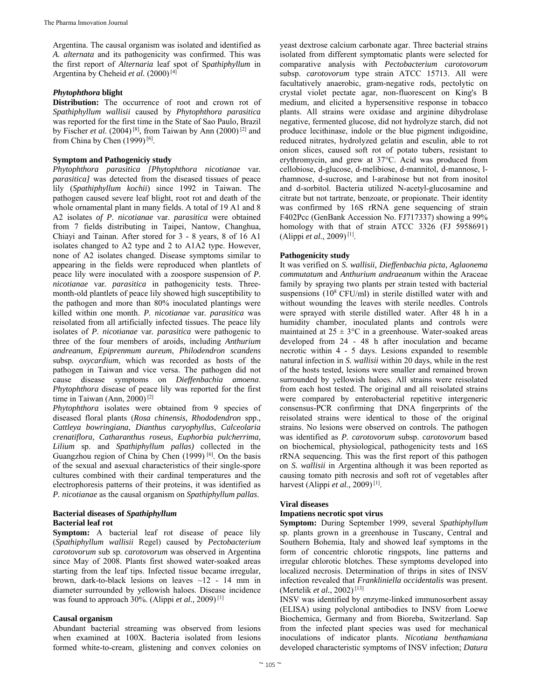Argentina. The causal organism was isolated and identified as *A. alternata* and its pathogenicity was confirmed. This was the first report of *Alternaria* leaf spot of S*pathiphyllum* in Argentina by Cheheid et al. (2000)<sup>[4]</sup>

#### *Phytophthora* **blight**

**Distribution:** The occurrence of root and crown rot of *Spathiphyllum wallisii* caused by *Phytophthora parasitica* was reported for the first time in the State of Sao Paulo, Brazil by Fischer *et al.* (2004)<sup>[8]</sup>, from Taiwan by Ann (2000)<sup>[2]</sup> and from China by Chen (1999)<sup>[6]</sup>.

## **Symptom and Pathogeniciy study**

*Phytophthora parasitica [Phytophthora nicotianae* var*. parasitica]* was detected from the diseased tissues of peace lily (*Spathiphyllum kochii*) since 1992 in Taiwan. The pathogen caused severe leaf blight, root rot and death of the whole ornamental plant in many fields. A total of 19 A1 and 8 A2 isolates *of P. nicotianae* var. *parasitica* were obtained from 7 fields distributing in Taipei, Nantow, Changhua, Chiayi and Tainan. After stored for 3 - 8 years, 8 of 16 A1 isolates changed to A2 type and 2 to A1A2 type. However, none of A2 isolates changed. Disease symptoms similar to appearing in the fields were reproduced when plantlets of peace lily were inoculated with a zoospore suspension of *P. nicotianae* var*. parasitica* in pathogenicity tests. Threemonth-old plantlets of peace lily showed high susceptibility to the pathogen and more than 80% inoculated plantings were killed within one month. *P. nicotianae* var*. parasitica* was reisolated from all artificially infected tissues. The peace lily isolates of *P. nicotianae* var*. parasitica* were pathogenic to three of the four members of aroids, including *Anthurium andreanum, Epiprenmum aureum*, *Philodendron scandens* subsp*. oxycardium*, which was recorded as hosts of the pathogen in Taiwan and vice versa. The pathogen did not cause disease symptoms on *Dieffenbachia amoena*. *Phytophthora* disease of peace lily was reported for the first time in Taiwan (Ann, 2000) [2]

*Phytophthora* isolates were obtained from 9 species of diseased floral plants (*Rosa chinensis, Rhododendron* spp., *Cattleya bowringiana*, *Dianthus caryophyllus*, *Calceolaria crenatiflora, Catharanthus roseus, Euphorbia pulcherrima, Lilium* sp. and *Spathiphyllum pallas)* collected in the Guangzhou region of China by Chen (1999) [6]. On the basis of the sexual and asexual characteristics of their single-spore cultures combined with their cardinal temperatures and the electrophoresis patterns of their proteins, it was identified as *P. nicotianae* as the causal organism on *Spathiphyllum pallas*.

#### **Bacterial diseases of** *Spathiphyllum*  **Bacterial leaf rot**

**Symptom:** A bacterial leaf rot disease of peace lily (*Spathiphyllum wallisii* Regel) caused by *Pectobacterium carotovorum* sub sp. *carotovorum* was observed in Argentina since May of 2008. Plants first showed water-soaked areas starting from the leaf tips. Infected tissue became irregular, brown, dark-to-black lesions on leaves  $\sim$ 12 - 14 mm in diameter surrounded by yellowish haloes. Disease incidence was found to approach 30%. (Alippi *et al.,* 2009) [1]

#### **Causal organism**

Abundant bacterial streaming was observed from lesions when examined at 100X. Bacteria isolated from lesions formed white-to-cream, glistening and convex colonies on

yeast dextrose calcium carbonate agar. Three bacterial strains isolated from different symptomatic plants were selected for comparative analysis with *Pectobacterium carotovorum*  subsp. *carotovorum* type strain ATCC 15713. All were facultatively anaerobic, gram-negative rods, pectolytic on crystal violet pectate agar, non-fluorescent on King's B medium, and elicited a hypersensitive response in tobacco plants. All strains were oxidase and arginine dihydrolase negative, fermented glucose, did not hydrolyze starch, did not produce lecithinase, indole or the blue pigment indigoidine, reduced nitrates, hydrolyzed gelatin and esculin, able to rot onion slices, caused soft rot of potato tubers, resistant to erythromycin, and grew at 37°C. Acid was produced from cellobiose, d-glucose, d-melibiose, d-mannitol, d-mannose, lrhamnose, d-sucrose, and l-arabinose but not from inositol and d-sorbitol. Bacteria utilized N-acetyl-glucosamine and citrate but not tartrate, benzoate, or propionate. Their identity was confirmed by 16S rRNA gene sequencing of strain F402Pcc (GenBank Accession No. FJ717337) showing a 99% homology with that of strain ATCC 3326 (FJ 5958691) (Alippi *et al.,* 2009) [1].

## **Pathogenicity study**

It was verified on *S. wallisii, Dieffenbachia picta, Aglaonema commutatum* and *Anthurium andraeanum* within the Araceae family by spraying two plants per strain tested with bacterial suspensions  $(10^8 \text{ CFU/ml})$  in sterile distilled water with and without wounding the leaves with sterile needles. Controls were sprayed with sterile distilled water. After 48 h in a humidity chamber, inoculated plants and controls were maintained at  $25 \pm 3$ °C in a greenhouse. Water-soaked areas developed from 24 - 48 h after inoculation and became necrotic within 4 - 5 days. Lesions expanded to resemble natural infection in *S. wallisii* within 20 days, while in the rest of the hosts tested, lesions were smaller and remained brown surrounded by yellowish haloes. All strains were reisolated from each host tested. The original and all reisolated strains were compared by enterobacterial repetitive intergeneric consensus-PCR confirming that DNA fingerprints of the reisolated strains were identical to those of the original strains. No lesions were observed on controls. The pathogen was identified as *P. carotovorum* subsp. *carotovorum* based on biochemical, physiological, pathogenicity tests and 16S rRNA sequencing. This was the first report of this pathogen on *S. wallisii* in Argentina although it was been reported as causing tomato pith necrosis and soft rot of vegetables after harvest (Alippi *et al.,* 2009) [1].

#### **Viral diseases**

## **Impatiens necrotic spot virus**

**Symptom:** During September 1999, several *Spathiphyllum* sp. plants grown in a greenhouse in Tuscany, Central and Southern Bohemia, Italy and showed leaf symptoms in the form of concentric chlorotic ringspots, line patterns and irregular chlorotic blotches. These symptoms developed into localized necrosis. Determination of thrips in sites of INSV infection revealed that *Frankliniella occidentalis* was present. (Mertelik *et al.*, 2002) [13]

INSV was identified by enzyme-linked immunosorbent assay (ELISA) using polyclonal antibodies to INSV from Loewe Biochemica, Germany and from Bioreba, Switzerland. Sap from the infected plant species was used for mechanical inoculations of indicator plants. *Nicotiana benthamiana* developed characteristic symptoms of INSV infection; *Datura*